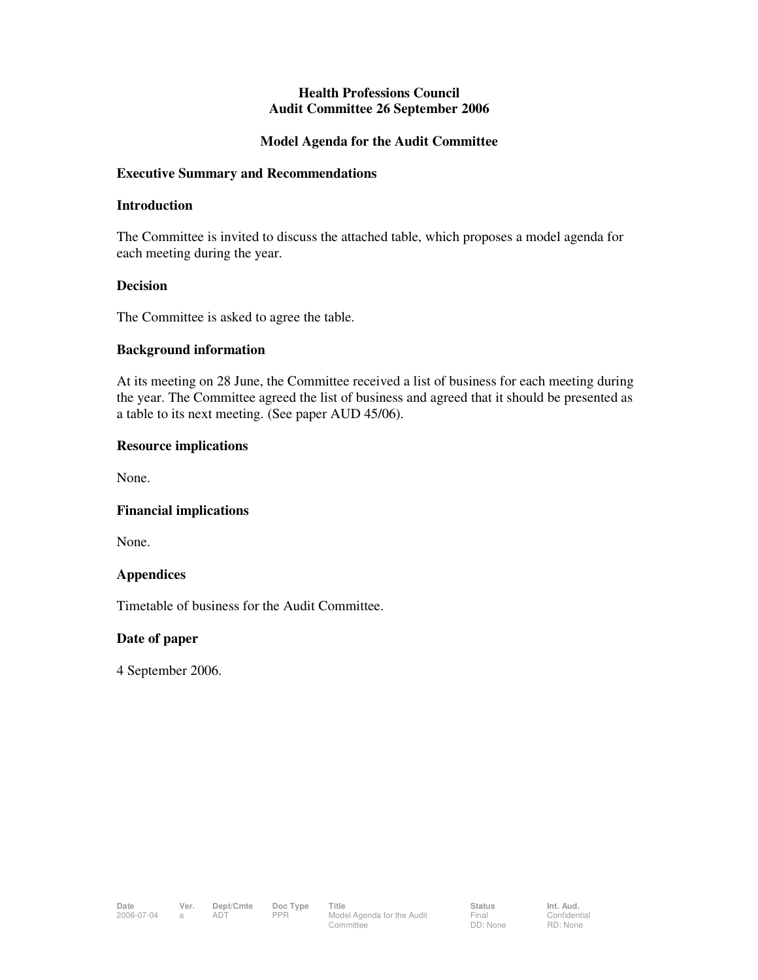### **Health Professions Council Audit Committee 26 September 2006**

### **Model Agenda for the Audit Committee**

### **Executive Summary and Recommendations**

### **Introduction**

The Committee is invited to discuss the attached table, which proposes a model agenda for each meeting during the year.

## **Decision**

The Committee is asked to agree the table.

## **Background information**

At its meeting on 28 June, the Committee received a list of business for each meeting during the year. The Committee agreed the list of business and agreed that it should be presented as a table to its next meeting. (See paper AUD 45/06).

## **Resource implications**

None.

### **Financial implications**

None.

# **Appendices**

Timetable of business for the Audit Committee.

### **Date of paper**

4 September 2006.

Confidential RD: None